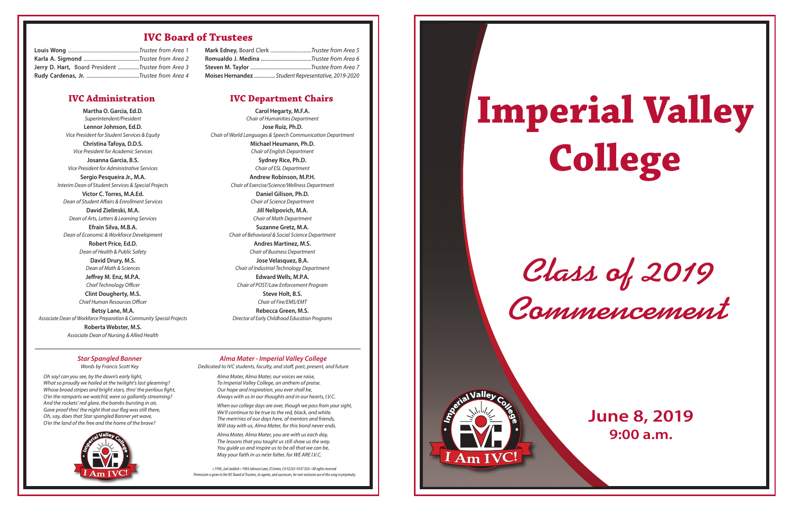*Class of 2019 Commencement*

# **Imperial Valley College**



### **June 8, 2019 9:00 a.m.**

#### **IVC Board of Trustees**

#### *Star Spangled Banner*

Words by Francis Scott Key

Alma Mater, Alma Mater, our voices we raise, To Imperial Valley College, an anthem of praise. Our hope and inspiration, you evershall be, Always with us in our thoughts and in our hearts, I.V.C.

When our college days are over, though we pass from your sight, We'll continue to be true to the red, black, and white. The mem'ries of our days here, of mentors and friends, Will stay with us, Alma Mater, for this bond never ends.

Oh say! can you see, by the dawn's early light, What so proudly we hailed at the twilight's last gleaming? Whose broad stripes and bright stars, thro' the perilous fight, O'er the ramparts we watch'd, were so gallantly streaming? And the rockets' red glare, the bombs bursting in air, Gave proof thro' the night that our flag was still there, Oh, say, does that Star spangled Banner yet wave, O'er the land of the free and the home of the brave?



*Alma Mater - Imperial Valley College* Dedicated to IVC students, faculty, and staff, past, present, and future

> Alma Mater, Alma Mater, you are with us each day, The lessons that you taught us still show us the way. You quide us and inspire us to be all that we can be, May your faith in us ne'er falter, for WE ARE I.V.C.

*c1996, Joel Jacklich•1904JohnsonLane,ElCentro,CA 92243-9547 USA • All rights reserved. PermissionisgiventotheIVC BoardofTrustees, itsagents,andsuccessors, fornon-exclusiveuseof this songinperpetuity.*

| Jerry D. Hart, Board President Trustee from Area 3 |  |
|----------------------------------------------------|--|
|                                                    |  |

| Mark Edney, Board Clerk Trustee from Area 5         |
|-----------------------------------------------------|
|                                                     |
|                                                     |
| Moises Hernandez  Student Representative, 2019-2020 |

**Martha O. Garcia, Ed.D.** Superintendent/President **Lennor Johnson, Ed.D.** Vice President for Student Services & Equity

**Christina Tafoya, D.D.S.** Vice President for Academic Services **Josanna Garcia, B.S.** Vice President for Administrative Services

**Sergio Pesqueira Jr., M.A.** Interim Dean of Student Services & Special Projects

**Victor C. Torres, M.A.Ed.** Dean of Student Affairs & Enrollment Services

**David Zielinski, M.A.** Dean of Arts, Letters & Learning Services

**Efrain Silva, M.B.A.** Dean of Economic & Workforce Development

> **Robert Price, Ed.D.** Dean of Health & Public Safety **David Drury, M.S.** Dean of Math & Sciences

**Jeffrey M. Enz, M.P.A.** Chief Technology Officer

**Clint Dougherty, M.S.** Chief Human Resources Officer **Betsy Lane, M.A.**

Associate Dean of Workforce Preparation & Community Special Projects

**Roberta Webster, M.S.** Associate Dean of Nursing & Allied Health

**Carol Hegarty, M.F.A.** Chair of Humanities Department **Jose Ruiz, Ph.D.** Chair of World Languages & Speech Communication Department

> **Michael Heumann, Ph.D.** Chair of English Department **Sydney Rice, Ph.D.** Chair of ESL Department

**Andrew Robinson, M.P.H.** Chair of Exercise/Science/Wellness Department

> **Daniel Gilison, Ph.D.** Chair of Science Department

**Jill Nelipovich, M.A.** Chair of Math Department

**Suzanne Gretz, M.A.** Chair of Behavioral & Social Science Department

**Andres Martinez, M.S.** Chair of Business Department **Jose Velasquez, B.A.** Chair of Industrial Technology Department

**Edward Wells, M.P.A.** Chair of POST/Law Enforcement Program **Steve Holt, B.S.** Chair of Fire/EMS/EMT

**Rebecca Green, M.S.** Director of Early Childhood Education Programs

#### **IVC Administration IVC Department Chairs**